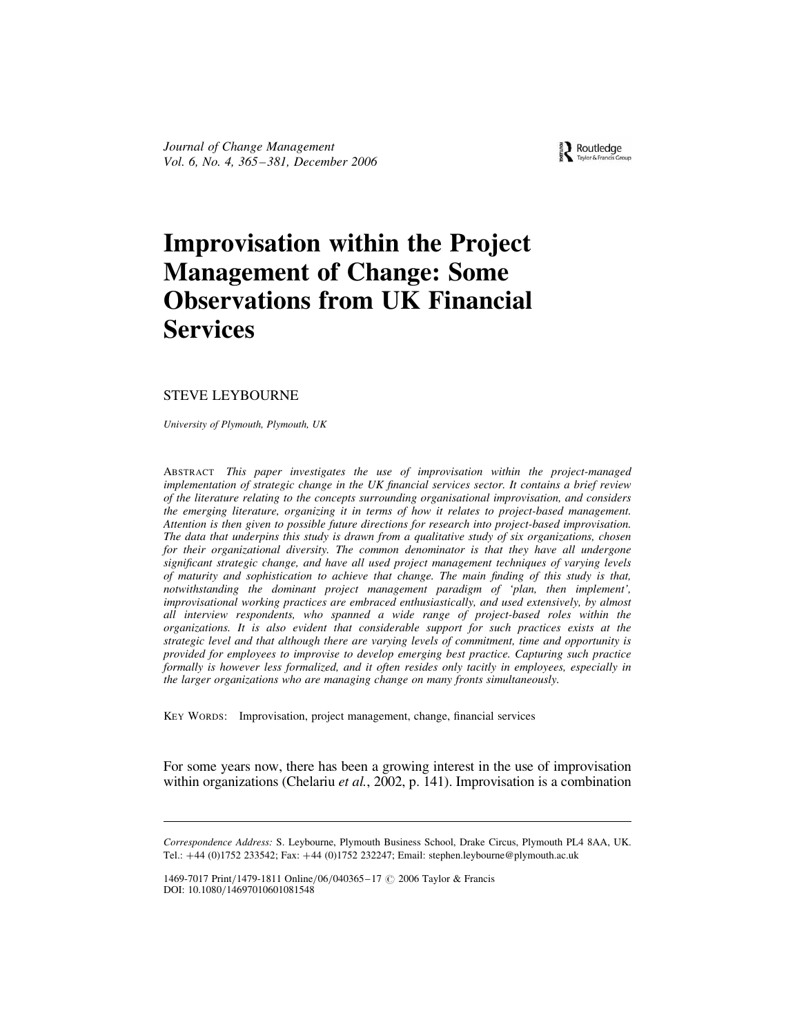Journal of Change Management Vol. 6, No. 4, 365 –381, December 2006

# Improvisation within the Project Management of Change: Some Observations from UK Financial Services

# STEVE LEYBOURNE

University of Plymouth, Plymouth, UK

ABSTRACT This paper investigates the use of improvisation within the project-managed implementation of strategic change in the UK financial services sector. It contains a brief review of the literature relating to the concepts surrounding organisational improvisation, and considers the emerging literature, organizing it in terms of how it relates to project-based management. Attention is then given to possible future directions for research into project-based improvisation. The data that underpins this study is drawn from a qualitative study of six organizations, chosen for their organizational diversity. The common denominator is that they have all undergone significant strategic change, and have all used project management techniques of varying levels of maturity and sophistication to achieve that change. The main finding of this study is that, notwithstanding the dominant project management paradigm of 'plan, then implement', improvisational working practices are embraced enthusiastically, and used extensively, by almost all interview respondents, who spanned a wide range of project-based roles within the organizations. It is also evident that considerable support for such practices exists at the strategic level and that although there are varying levels of commitment, time and opportunity is provided for employees to improvise to develop emerging best practice. Capturing such practice formally is however less formalized, and it often resides only tacitly in employees, especially in the larger organizations who are managing change on many fronts simultaneously.

KEY WORDS: Improvisation, project management, change, financial services

For some years now, there has been a growing interest in the use of improvisation within organizations (Chelariu *et al.*, 2002, p. 141). Improvisation is a combination

Routledge

Correspondence Address: S. Leybourne, Plymouth Business School, Drake Circus, Plymouth PL4 8AA, UK. Tel.: +44 (0)1752 233542; Fax: +44 (0)1752 232247; Email: stephen.leybourne@plymouth.ac.uk

<sup>1469-7017</sup> Print/1479-1811 Online/06/040365-17 © 2006 Taylor & Francis DOI: 10.1080/14697010601081548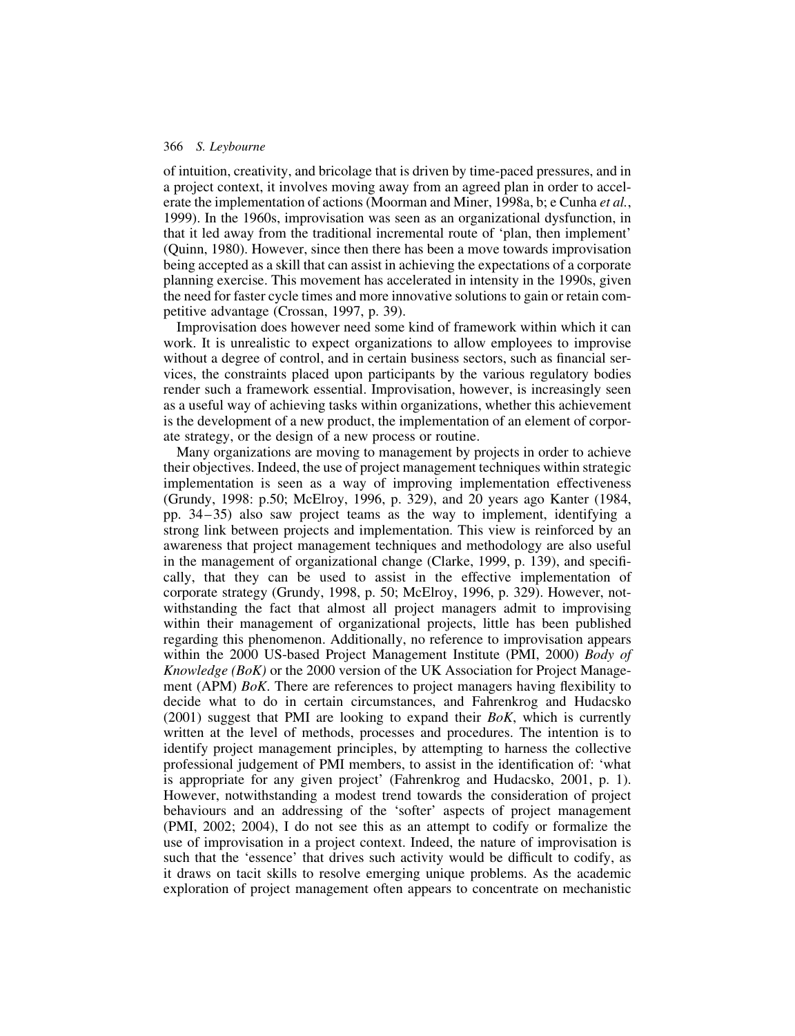of intuition, creativity, and bricolage that is driven by time-paced pressures, and in a project context, it involves moving away from an agreed plan in order to accelerate the implementation of actions (Moorman and Miner, 1998a, b; e Cunha *et al.*, 1999). In the 1960s, improvisation was seen as an organizational dysfunction, in that it led away from the traditional incremental route of 'plan, then implement' (Quinn, 1980). However, since then there has been a move towards improvisation being accepted as a skill that can assist in achieving the expectations of a corporate planning exercise. This movement has accelerated in intensity in the 1990s, given the need for faster cycle times and more innovative solutions to gain or retain competitive advantage (Crossan, 1997, p. 39).

Improvisation does however need some kind of framework within which it can work. It is unrealistic to expect organizations to allow employees to improvise without a degree of control, and in certain business sectors, such as financial services, the constraints placed upon participants by the various regulatory bodies render such a framework essential. Improvisation, however, is increasingly seen as a useful way of achieving tasks within organizations, whether this achievement is the development of a new product, the implementation of an element of corporate strategy, or the design of a new process or routine.

Many organizations are moving to management by projects in order to achieve their objectives. Indeed, the use of project management techniques within strategic implementation is seen as a way of improving implementation effectiveness (Grundy, 1998: p.50; McElroy, 1996, p. 329), and 20 years ago Kanter (1984, pp. 34– 35) also saw project teams as the way to implement, identifying a strong link between projects and implementation. This view is reinforced by an awareness that project management techniques and methodology are also useful in the management of organizational change (Clarke, 1999, p. 139), and specifically, that they can be used to assist in the effective implementation of corporate strategy (Grundy, 1998, p. 50; McElroy, 1996, p. 329). However, notwithstanding the fact that almost all project managers admit to improvising within their management of organizational projects, little has been published regarding this phenomenon. Additionally, no reference to improvisation appears within the 2000 US-based Project Management Institute (PMI, 2000) Body of Knowledge (BoK) or the 2000 version of the UK Association for Project Management (APM) *BoK*. There are references to project managers having flexibility to decide what to do in certain circumstances, and Fahrenkrog and Hudacsko  $(2001)$  suggest that PMI are looking to expand their *BoK*, which is currently written at the level of methods, processes and procedures. The intention is to identify project management principles, by attempting to harness the collective professional judgement of PMI members, to assist in the identification of: 'what is appropriate for any given project' (Fahrenkrog and Hudacsko, 2001, p. 1). However, notwithstanding a modest trend towards the consideration of project behaviours and an addressing of the 'softer' aspects of project management (PMI, 2002; 2004), I do not see this as an attempt to codify or formalize the use of improvisation in a project context. Indeed, the nature of improvisation is such that the 'essence' that drives such activity would be difficult to codify, as it draws on tacit skills to resolve emerging unique problems. As the academic exploration of project management often appears to concentrate on mechanistic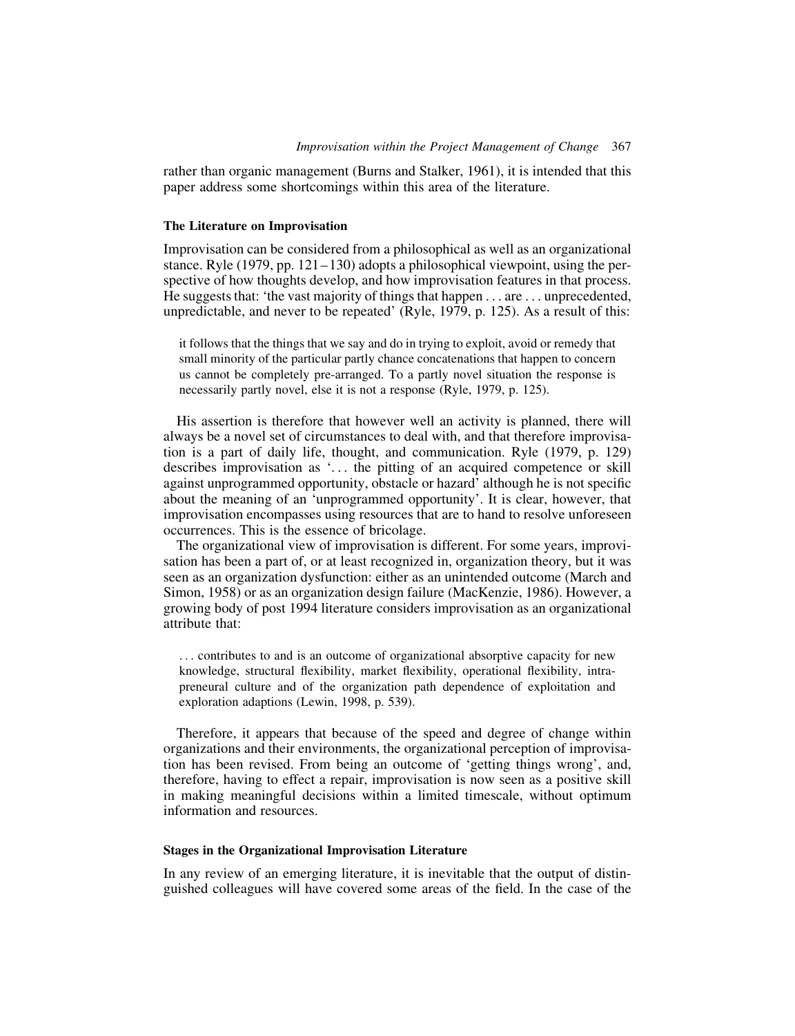rather than organic management (Burns and Stalker, 1961), it is intended that this paper address some shortcomings within this area of the literature.

## The Literature on Improvisation

Improvisation can be considered from a philosophical as well as an organizational stance. Ryle  $(1979, pp. 121-130)$  adopts a philosophical viewpoint, using the perspective of how thoughts develop, and how improvisation features in that process. He suggests that: 'the vast majority of things that happen ... are ... unprecedented, unpredictable, and never to be repeated' (Ryle, 1979, p. 125). As a result of this:

it follows that the things that we say and do in trying to exploit, avoid or remedy that small minority of the particular partly chance concatenations that happen to concern us cannot be completely pre-arranged. To a partly novel situation the response is necessarily partly novel, else it is not a response (Ryle, 1979, p. 125).

His assertion is therefore that however well an activity is planned, there will always be a novel set of circumstances to deal with, and that therefore improvisation is a part of daily life, thought, and communication. Ryle (1979, p. 129) describes improvisation as '... the pitting of an acquired competence or skill against unprogrammed opportunity, obstacle or hazard' although he is not specific about the meaning of an 'unprogrammed opportunity'. It is clear, however, that improvisation encompasses using resources that are to hand to resolve unforeseen occurrences. This is the essence of bricolage.

The organizational view of improvisation is different. For some years, improvisation has been a part of, or at least recognized in, organization theory, but it was seen as an organization dysfunction: either as an unintended outcome (March and Simon, 1958) or as an organization design failure (MacKenzie, 1986). However, a growing body of post 1994 literature considers improvisation as an organizational attribute that:

... contributes to and is an outcome of organizational absorptive capacity for new knowledge, structural flexibility, market flexibility, operational flexibility, intrapreneural culture and of the organization path dependence of exploitation and exploration adaptions (Lewin, 1998, p. 539).

Therefore, it appears that because of the speed and degree of change within organizations and their environments, the organizational perception of improvisation has been revised. From being an outcome of 'getting things wrong', and, therefore, having to effect a repair, improvisation is now seen as a positive skill in making meaningful decisions within a limited timescale, without optimum information and resources.

## Stages in the Organizational Improvisation Literature

In any review of an emerging literature, it is inevitable that the output of distinguished colleagues will have covered some areas of the field. In the case of the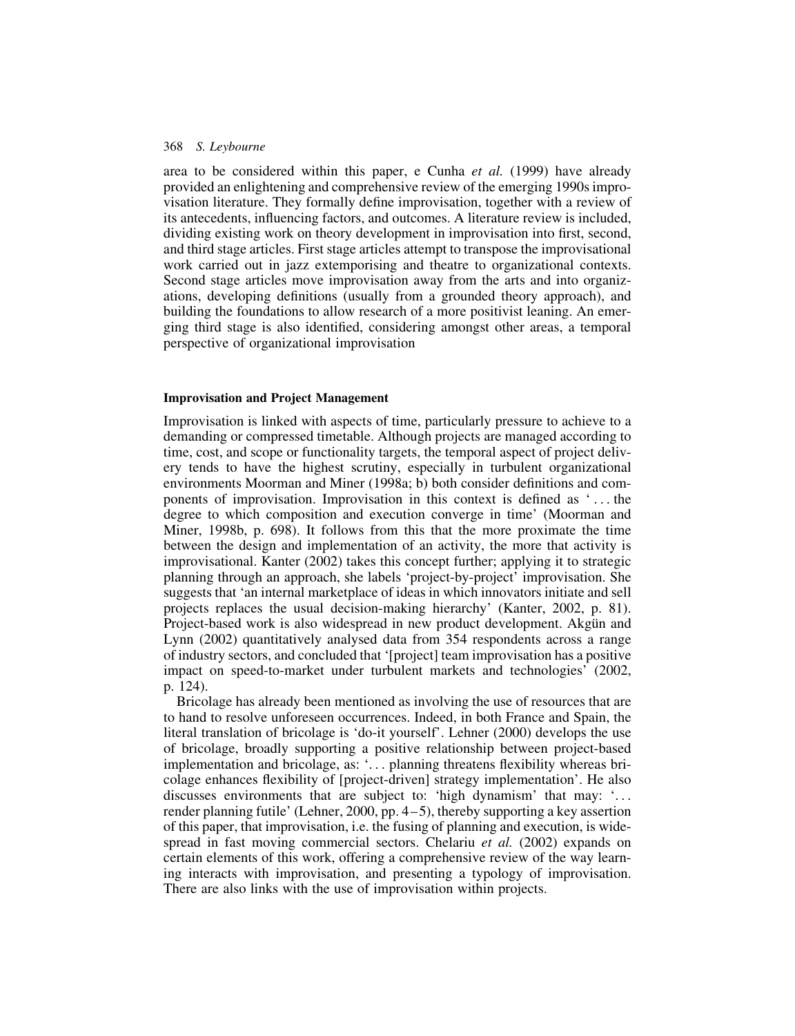area to be considered within this paper, e Cunha et al. (1999) have already provided an enlightening and comprehensive review of the emerging 1990s improvisation literature. They formally define improvisation, together with a review of its antecedents, influencing factors, and outcomes. A literature review is included, dividing existing work on theory development in improvisation into first, second, and third stage articles. First stage articles attempt to transpose the improvisational work carried out in jazz extemporising and theatre to organizational contexts. Second stage articles move improvisation away from the arts and into organizations, developing definitions (usually from a grounded theory approach), and building the foundations to allow research of a more positivist leaning. An emerging third stage is also identified, considering amongst other areas, a temporal perspective of organizational improvisation

## Improvisation and Project Management

Improvisation is linked with aspects of time, particularly pressure to achieve to a demanding or compressed timetable. Although projects are managed according to time, cost, and scope or functionality targets, the temporal aspect of project delivery tends to have the highest scrutiny, especially in turbulent organizational environments Moorman and Miner (1998a; b) both consider definitions and components of improvisation. Improvisation in this context is defined as ' ... the degree to which composition and execution converge in time' (Moorman and Miner, 1998b, p. 698). It follows from this that the more proximate the time between the design and implementation of an activity, the more that activity is improvisational. Kanter (2002) takes this concept further; applying it to strategic planning through an approach, she labels 'project-by-project' improvisation. She suggests that 'an internal marketplace of ideas in which innovators initiate and sell projects replaces the usual decision-making hierarchy' (Kanter, 2002, p. 81). Project-based work is also widespread in new product development. Akgun and Lynn (2002) quantitatively analysed data from 354 respondents across a range of industry sectors, and concluded that '[project] team improvisation has a positive impact on speed-to-market under turbulent markets and technologies' (2002, p. 124).

Bricolage has already been mentioned as involving the use of resources that are to hand to resolve unforeseen occurrences. Indeed, in both France and Spain, the literal translation of bricolage is 'do-it yourself'. Lehner (2000) develops the use of bricolage, broadly supporting a positive relationship between project-based implementation and bricolage, as: '... planning threatens flexibility whereas bricolage enhances flexibility of [project-driven] strategy implementation'. He also discusses environments that are subject to: 'high dynamism' that may: '... render planning futile' (Lehner, 2000, pp. 4 – 5), thereby supporting a key assertion of this paper, that improvisation, i.e. the fusing of planning and execution, is widespread in fast moving commercial sectors. Chelariu et al. (2002) expands on certain elements of this work, offering a comprehensive review of the way learning interacts with improvisation, and presenting a typology of improvisation. There are also links with the use of improvisation within projects.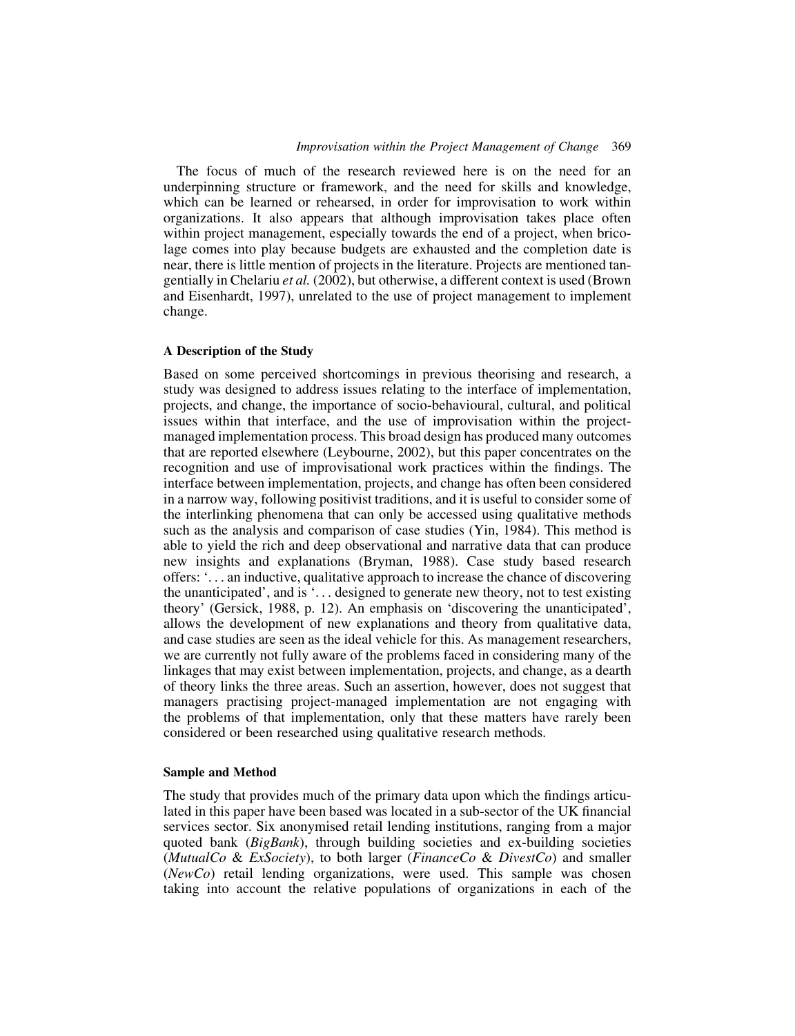The focus of much of the research reviewed here is on the need for an underpinning structure or framework, and the need for skills and knowledge, which can be learned or rehearsed, in order for improvisation to work within organizations. It also appears that although improvisation takes place often within project management, especially towards the end of a project, when bricolage comes into play because budgets are exhausted and the completion date is near, there is little mention of projects in the literature. Projects are mentioned tangentially in Chelariu et al. (2002), but otherwise, a different context is used (Brown and Eisenhardt, 1997), unrelated to the use of project management to implement change.

## A Description of the Study

Based on some perceived shortcomings in previous theorising and research, a study was designed to address issues relating to the interface of implementation, projects, and change, the importance of socio-behavioural, cultural, and political issues within that interface, and the use of improvisation within the projectmanaged implementation process. This broad design has produced many outcomes that are reported elsewhere (Leybourne, 2002), but this paper concentrates on the recognition and use of improvisational work practices within the findings. The interface between implementation, projects, and change has often been considered in a narrow way, following positivist traditions, and it is useful to consider some of the interlinking phenomena that can only be accessed using qualitative methods such as the analysis and comparison of case studies (Yin, 1984). This method is able to yield the rich and deep observational and narrative data that can produce new insights and explanations (Bryman, 1988). Case study based research offers: '... an inductive, qualitative approach to increase the chance of discovering the unanticipated', and is '... designed to generate new theory, not to test existing theory' (Gersick, 1988, p. 12). An emphasis on 'discovering the unanticipated', allows the development of new explanations and theory from qualitative data, and case studies are seen as the ideal vehicle for this. As management researchers, we are currently not fully aware of the problems faced in considering many of the linkages that may exist between implementation, projects, and change, as a dearth of theory links the three areas. Such an assertion, however, does not suggest that managers practising project-managed implementation are not engaging with the problems of that implementation, only that these matters have rarely been considered or been researched using qualitative research methods.

#### Sample and Method

The study that provides much of the primary data upon which the findings articulated in this paper have been based was located in a sub-sector of the UK financial services sector. Six anonymised retail lending institutions, ranging from a major quoted bank (BigBank), through building societies and ex-building societies (MutualCo & ExSociety), to both larger (FinanceCo & DivestCo) and smaller (NewCo) retail lending organizations, were used. This sample was chosen taking into account the relative populations of organizations in each of the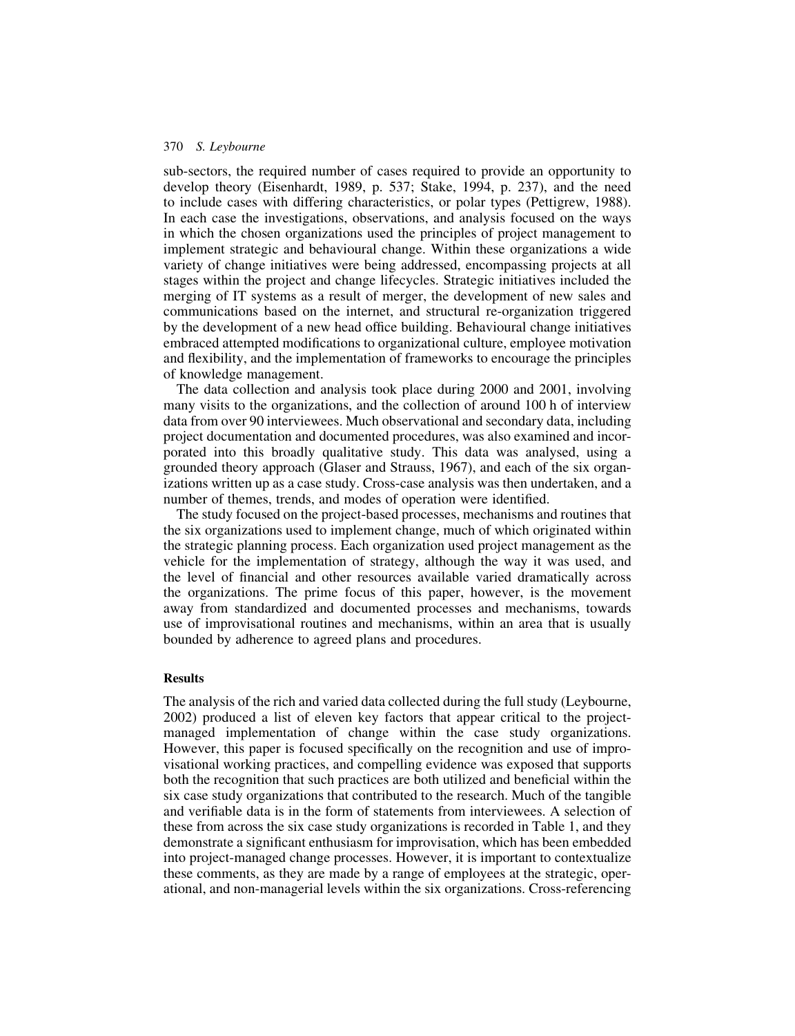sub-sectors, the required number of cases required to provide an opportunity to develop theory (Eisenhardt, 1989, p. 537; Stake, 1994, p. 237), and the need to include cases with differing characteristics, or polar types (Pettigrew, 1988). In each case the investigations, observations, and analysis focused on the ways in which the chosen organizations used the principles of project management to implement strategic and behavioural change. Within these organizations a wide variety of change initiatives were being addressed, encompassing projects at all stages within the project and change lifecycles. Strategic initiatives included the merging of IT systems as a result of merger, the development of new sales and communications based on the internet, and structural re-organization triggered by the development of a new head office building. Behavioural change initiatives embraced attempted modifications to organizational culture, employee motivation and flexibility, and the implementation of frameworks to encourage the principles of knowledge management.

The data collection and analysis took place during 2000 and 2001, involving many visits to the organizations, and the collection of around 100 h of interview data from over 90 interviewees. Much observational and secondary data, including project documentation and documented procedures, was also examined and incorporated into this broadly qualitative study. This data was analysed, using a grounded theory approach (Glaser and Strauss, 1967), and each of the six organizations written up as a case study. Cross-case analysis was then undertaken, and a number of themes, trends, and modes of operation were identified.

The study focused on the project-based processes, mechanisms and routines that the six organizations used to implement change, much of which originated within the strategic planning process. Each organization used project management as the vehicle for the implementation of strategy, although the way it was used, and the level of financial and other resources available varied dramatically across the organizations. The prime focus of this paper, however, is the movement away from standardized and documented processes and mechanisms, towards use of improvisational routines and mechanisms, within an area that is usually bounded by adherence to agreed plans and procedures.

#### Results

The analysis of the rich and varied data collected during the full study (Leybourne, 2002) produced a list of eleven key factors that appear critical to the projectmanaged implementation of change within the case study organizations. However, this paper is focused specifically on the recognition and use of improvisational working practices, and compelling evidence was exposed that supports both the recognition that such practices are both utilized and beneficial within the six case study organizations that contributed to the research. Much of the tangible and verifiable data is in the form of statements from interviewees. A selection of these from across the six case study organizations is recorded in Table 1, and they demonstrate a significant enthusiasm for improvisation, which has been embedded into project-managed change processes. However, it is important to contextualize these comments, as they are made by a range of employees at the strategic, operational, and non-managerial levels within the six organizations. Cross-referencing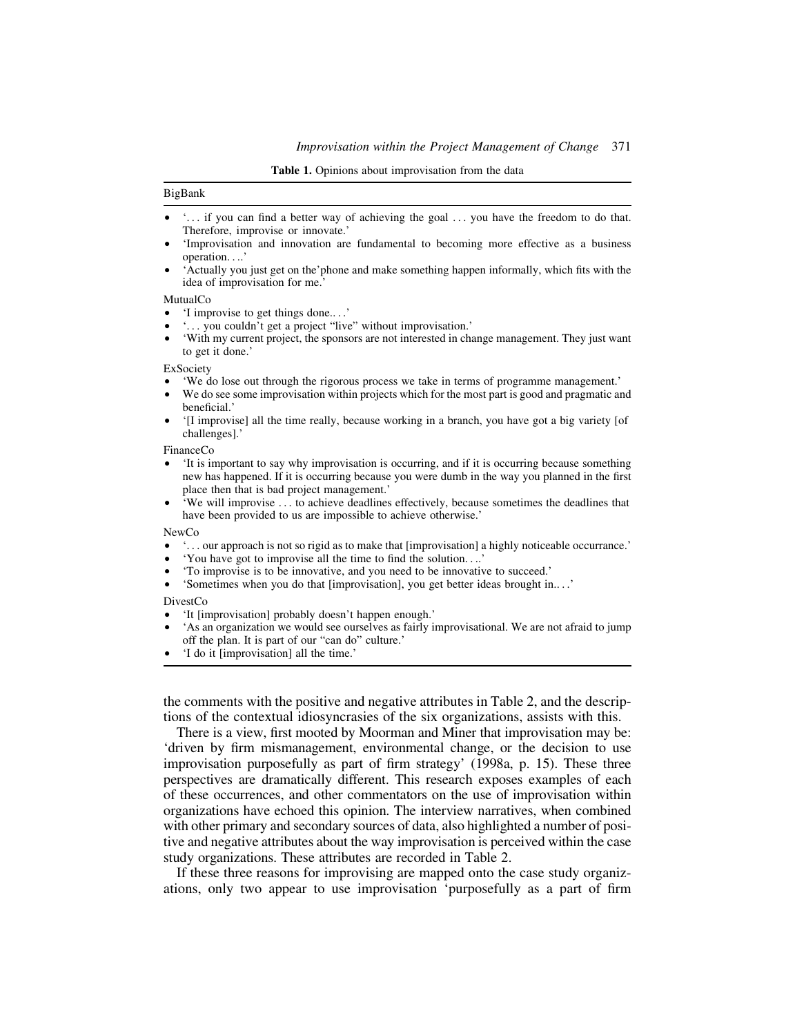Table 1. Opinions about improvisation from the data

#### BigBank

- † '... if you can find a better way of achieving the goal ... you have the freedom to do that. Therefore, improvise or innovate.'
- 'Improvisation and innovation are fundamental to becoming more effective as a business operation....'
- † 'Actually you just get on the'phone and make something happen informally, which fits with the idea of improvisation for me.'

#### MutualCo

- † 'I improvise to get things done....'
- † '... you couldn't get a project "live" without improvisation.'
- † 'With my current project, the sponsors are not interested in change management. They just want to get it done.'

ExSociety

- † 'We do lose out through the rigorous process we take in terms of programme management.'
- We do see some improvisation within projects which for the most part is good and pragmatic and beneficial.'
- † '[I improvise] all the time really, because working in a branch, you have got a big variety [of challenges].'

FinanceCo

- † 'It is important to say why improvisation is occurring, and if it is occurring because something new has happened. If it is occurring because you were dumb in the way you planned in the first place then that is bad project management.'
- 'We will improvise ... to achieve deadlines effectively, because sometimes the deadlines that have been provided to us are impossible to achieve otherwise.'

NewCo

- † '... our approach is not so rigid as to make that [improvisation] a highly noticeable occurrance.'
- † 'You have got to improvise all the time to find the solution....'
- † 'To improvise is to be innovative, and you need to be innovative to succeed.'
- † 'Sometimes when you do that [improvisation], you get better ideas brought in....'

DivestCo

- † 'It [improvisation] probably doesn't happen enough.'
- † 'As an organization we would see ourselves as fairly improvisational. We are not afraid to jump off the plan. It is part of our "can do" culture.'
- † 'I do it [improvisation] all the time.'

the comments with the positive and negative attributes in Table 2, and the descriptions of the contextual idiosyncrasies of the six organizations, assists with this.

There is a view, first mooted by Moorman and Miner that improvisation may be: 'driven by firm mismanagement, environmental change, or the decision to use improvisation purposefully as part of firm strategy' (1998a, p. 15). These three perspectives are dramatically different. This research exposes examples of each of these occurrences, and other commentators on the use of improvisation within organizations have echoed this opinion. The interview narratives, when combined with other primary and secondary sources of data, also highlighted a number of positive and negative attributes about the way improvisation is perceived within the case study organizations. These attributes are recorded in Table 2.

If these three reasons for improvising are mapped onto the case study organizations, only two appear to use improvisation 'purposefully as a part of firm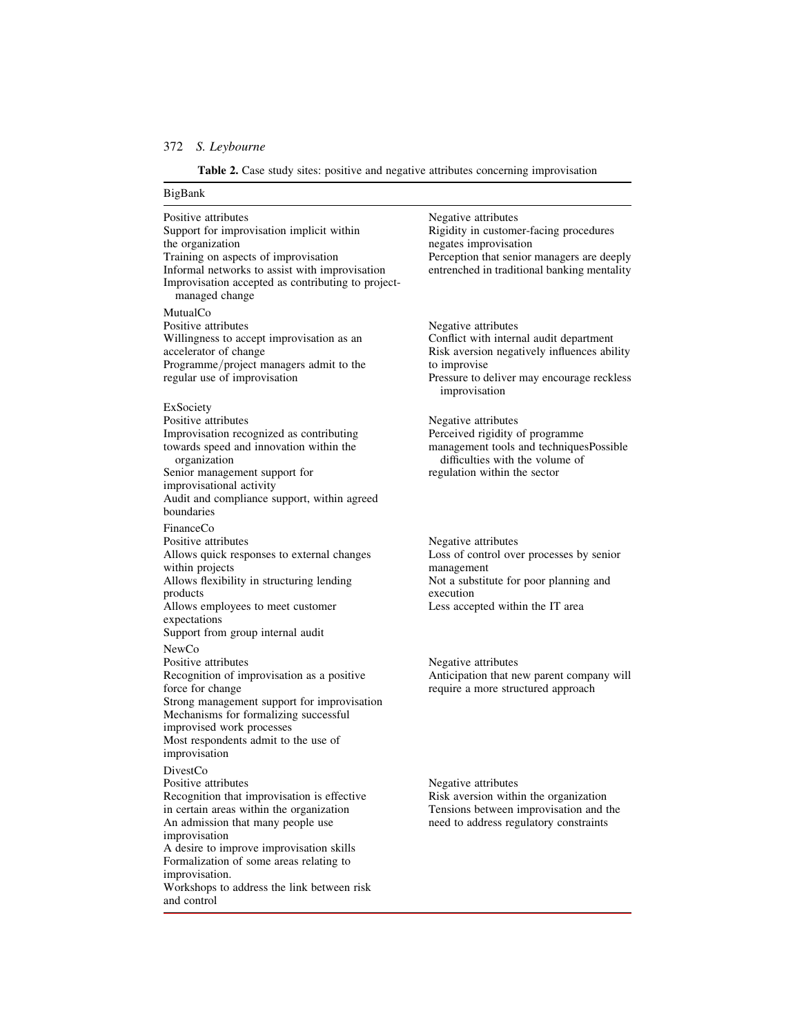Table 2. Case study sites: positive and negative attributes concerning improvisation

# BigBank Positive attributes Negative attributes Support for improvisation implicit within Rigidity in customer-facing procedures the organization egates improvisation the organization<br>
Training on aspects of improvisation<br>
Training on aspects of improvisation<br>
Perception that senior Perception that senior managers are deeply<br>entrenched in traditional banking mentality Informal networks to assist with improvisation Improvisation accepted as contributing to projectmanaged change MutualCo<br>Positive attributes Willingness to accept improvisation as an accelerator of change Programme/project managers admit to the to improvise<br>regular use of improvisation Pressure to do ExSociety Positive attributes<br>
Improvisation recognized as contributing<br>
Perceived rigidity of programme Improvisation recognized as contributing towards speed and innovation within the organization Senior management support for regulation within the sector improvisational activity Audit and compliance support, within agreed boundaries FinanceCo<br>Positive attributes Allows quick responses to external changes Loss of control over processes by senior within projects<br>
Allows flexibility in structuring lending<br>
Mot a substitute for poor planning and Allows flexibility in structuring lending products Allows employees to meet customer Less accepted within the IT area expectations Support from group internal audit NewCo Positive attributes<br>
Recognition of improvisation as a positive<br>
Anticipation that ne Recognition of improvisation as a positive Anticipation that new parent company will force for change require a more structured approach Strong management support for improvisation Mechanisms for formalizing successful improvised work processes Most respondents admit to the use of improvisation DivestCo Positive attributes Negative attributes Recognition that improvisation is effective Risk aversion within the organization in certain areas within the organization Tensions between improvisation and t in certain areas within the organization Tensions between improvisation and the An admission that many people use the need to address regulatory constraints improvisation A desire to improve improvisation skills Formalization of some areas relating to improvisation. Workshops to address the link between risk and control

Negative attributes<br>Conflict with internal audit department Risk aversion negatively influences ability Pressure to deliver may encourage reckless improvisation

management tools and techniquesPossible difficulties with the volume of

Negative attributes execution

require a more structured approach

need to address regulatory constraints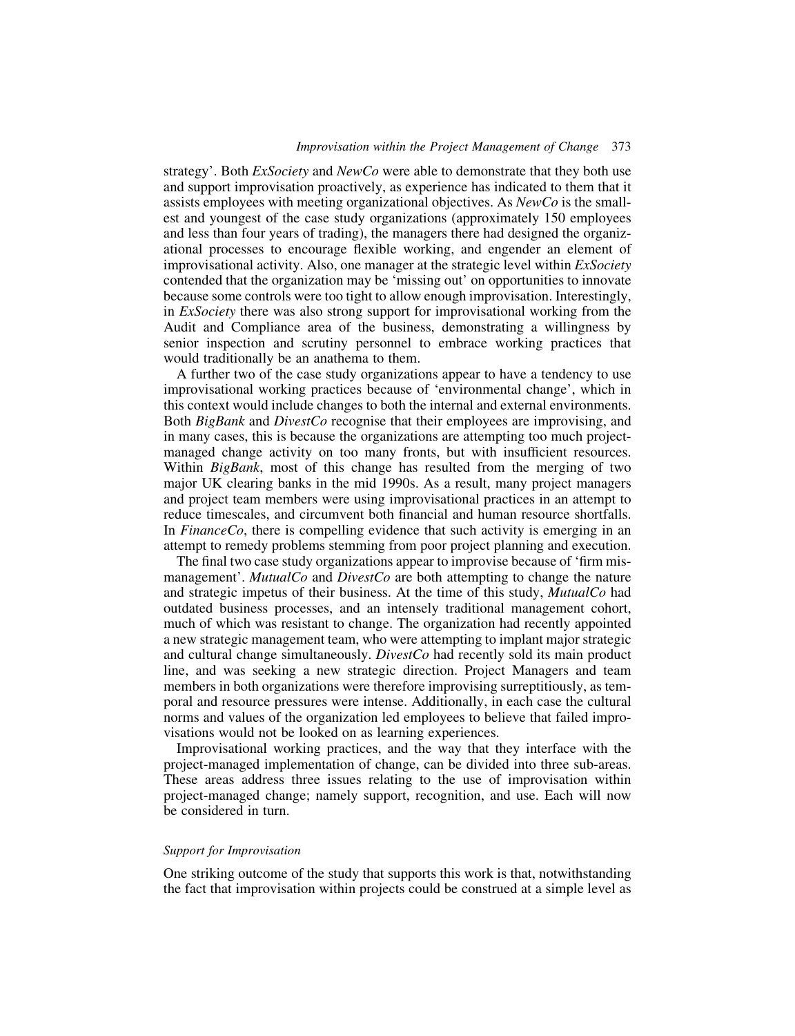## Improvisation within the Project Management of Change 373

strategy'. Both *ExSociety* and *NewCo* were able to demonstrate that they both use and support improvisation proactively, as experience has indicated to them that it assists employees with meeting organizational objectives. As NewCo is the smallest and youngest of the case study organizations (approximately 150 employees and less than four years of trading), the managers there had designed the organizational processes to encourage flexible working, and engender an element of improvisational activity. Also, one manager at the strategic level within ExSociety contended that the organization may be 'missing out' on opportunities to innovate because some controls were too tight to allow enough improvisation. Interestingly, in ExSociety there was also strong support for improvisational working from the Audit and Compliance area of the business, demonstrating a willingness by senior inspection and scrutiny personnel to embrace working practices that would traditionally be an anathema to them.

A further two of the case study organizations appear to have a tendency to use improvisational working practices because of 'environmental change', which in this context would include changes to both the internal and external environments. Both *BigBank* and *DivestCo* recognise that their employees are improvising, and in many cases, this is because the organizations are attempting too much projectmanaged change activity on too many fronts, but with insufficient resources. Within *BigBank*, most of this change has resulted from the merging of two major UK clearing banks in the mid 1990s. As a result, many project managers and project team members were using improvisational practices in an attempt to reduce timescales, and circumvent both financial and human resource shortfalls. In FinanceCo, there is compelling evidence that such activity is emerging in an attempt to remedy problems stemming from poor project planning and execution.

The final two case study organizations appear to improvise because of 'firm mismanagement'. MutualCo and DivestCo are both attempting to change the nature and strategic impetus of their business. At the time of this study, MutualCo had outdated business processes, and an intensely traditional management cohort, much of which was resistant to change. The organization had recently appointed a new strategic management team, who were attempting to implant major strategic and cultural change simultaneously. DivestCo had recently sold its main product line, and was seeking a new strategic direction. Project Managers and team members in both organizations were therefore improvising surreptitiously, as temporal and resource pressures were intense. Additionally, in each case the cultural norms and values of the organization led employees to believe that failed improvisations would not be looked on as learning experiences.

Improvisational working practices, and the way that they interface with the project-managed implementation of change, can be divided into three sub-areas. These areas address three issues relating to the use of improvisation within project-managed change; namely support, recognition, and use. Each will now be considered in turn.

## Support for Improvisation

One striking outcome of the study that supports this work is that, notwithstanding the fact that improvisation within projects could be construed at a simple level as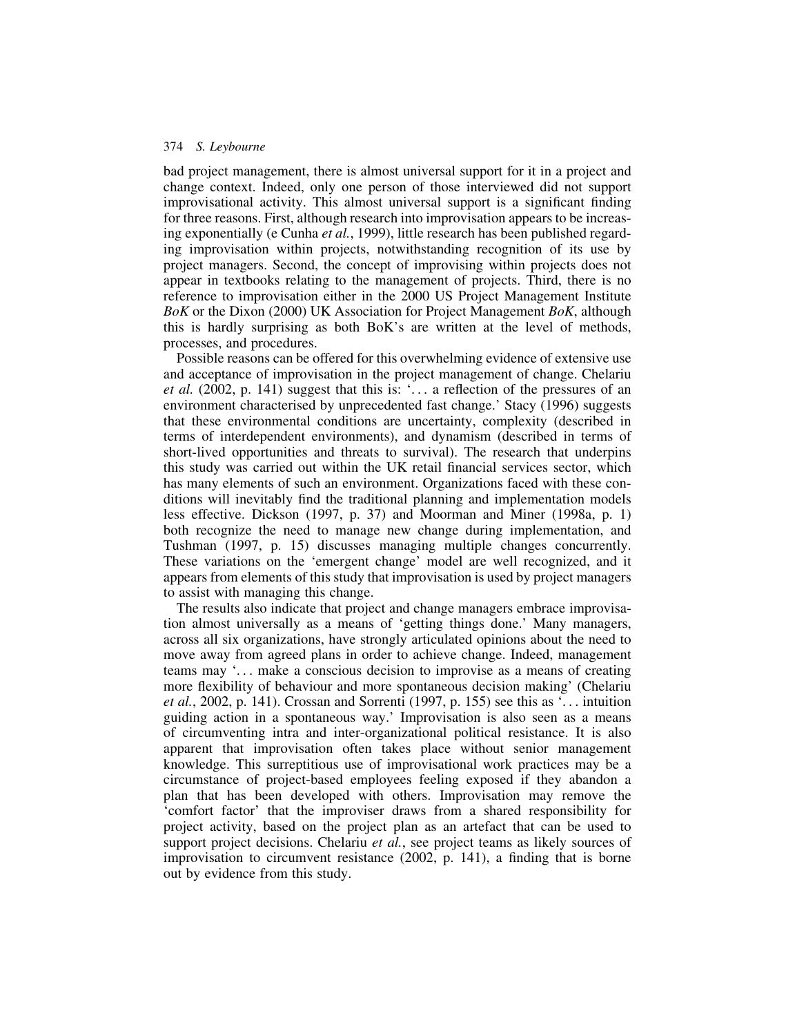bad project management, there is almost universal support for it in a project and change context. Indeed, only one person of those interviewed did not support improvisational activity. This almost universal support is a significant finding for three reasons. First, although research into improvisation appears to be increasing exponentially (e Cunha et al., 1999), little research has been published regarding improvisation within projects, notwithstanding recognition of its use by project managers. Second, the concept of improvising within projects does not appear in textbooks relating to the management of projects. Third, there is no reference to improvisation either in the 2000 US Project Management Institute BoK or the Dixon (2000) UK Association for Project Management BoK, although this is hardly surprising as both BoK's are written at the level of methods, processes, and procedures.

Possible reasons can be offered for this overwhelming evidence of extensive use and acceptance of improvisation in the project management of change. Chelariu et al. (2002, p. 141) suggest that this is: '... a reflection of the pressures of an environment characterised by unprecedented fast change.' Stacy (1996) suggests that these environmental conditions are uncertainty, complexity (described in terms of interdependent environments), and dynamism (described in terms of short-lived opportunities and threats to survival). The research that underpins this study was carried out within the UK retail financial services sector, which has many elements of such an environment. Organizations faced with these conditions will inevitably find the traditional planning and implementation models less effective. Dickson (1997, p. 37) and Moorman and Miner (1998a, p. 1) both recognize the need to manage new change during implementation, and Tushman (1997, p. 15) discusses managing multiple changes concurrently. These variations on the 'emergent change' model are well recognized, and it appears from elements of this study that improvisation is used by project managers to assist with managing this change.

The results also indicate that project and change managers embrace improvisation almost universally as a means of 'getting things done.' Many managers, across all six organizations, have strongly articulated opinions about the need to move away from agreed plans in order to achieve change. Indeed, management teams may '... make a conscious decision to improvise as a means of creating more flexibility of behaviour and more spontaneous decision making' (Chelariu et al., 2002, p. 141). Crossan and Sorrenti (1997, p. 155) see this as  $\ldots$  intuition guiding action in a spontaneous way.' Improvisation is also seen as a means of circumventing intra and inter-organizational political resistance. It is also apparent that improvisation often takes place without senior management knowledge. This surreptitious use of improvisational work practices may be a circumstance of project-based employees feeling exposed if they abandon a plan that has been developed with others. Improvisation may remove the 'comfort factor' that the improviser draws from a shared responsibility for project activity, based on the project plan as an artefact that can be used to support project decisions. Chelariu *et al.*, see project teams as likely sources of improvisation to circumvent resistance (2002, p. 141), a finding that is borne out by evidence from this study.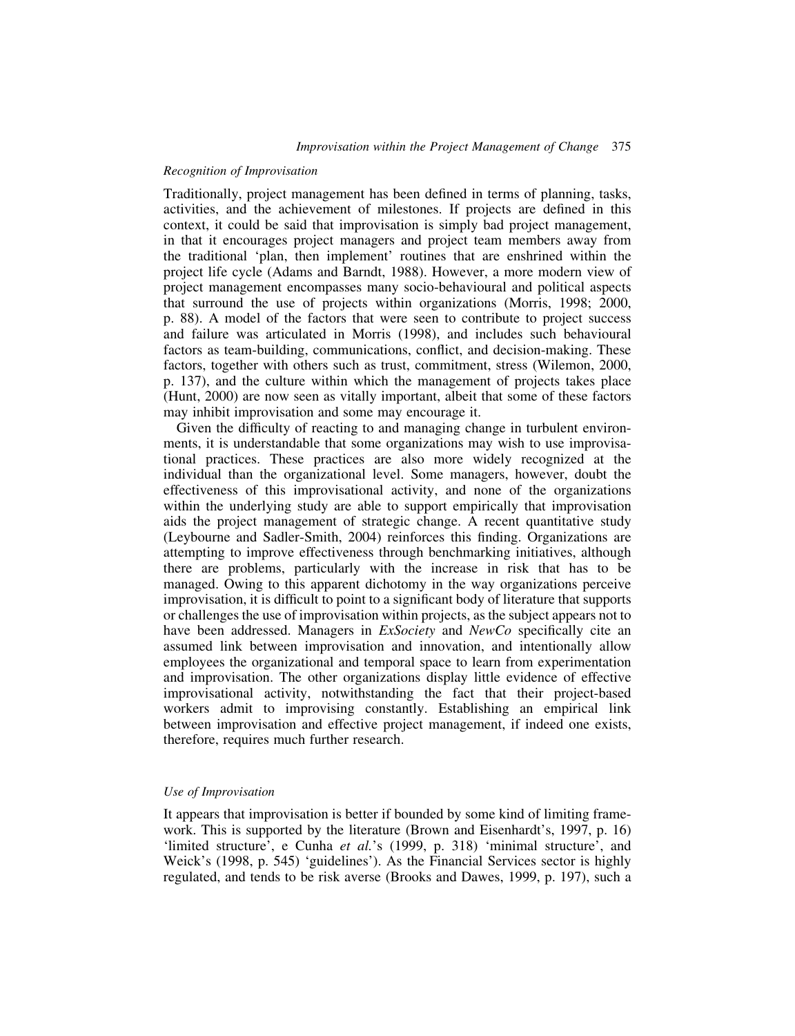## Recognition of Improvisation

Traditionally, project management has been defined in terms of planning, tasks, activities, and the achievement of milestones. If projects are defined in this context, it could be said that improvisation is simply bad project management, in that it encourages project managers and project team members away from the traditional 'plan, then implement' routines that are enshrined within the project life cycle (Adams and Barndt, 1988). However, a more modern view of project management encompasses many socio-behavioural and political aspects that surround the use of projects within organizations (Morris, 1998; 2000, p. 88). A model of the factors that were seen to contribute to project success and failure was articulated in Morris (1998), and includes such behavioural factors as team-building, communications, conflict, and decision-making. These factors, together with others such as trust, commitment, stress (Wilemon, 2000, p. 137), and the culture within which the management of projects takes place (Hunt, 2000) are now seen as vitally important, albeit that some of these factors may inhibit improvisation and some may encourage it.

Given the difficulty of reacting to and managing change in turbulent environments, it is understandable that some organizations may wish to use improvisational practices. These practices are also more widely recognized at the individual than the organizational level. Some managers, however, doubt the effectiveness of this improvisational activity, and none of the organizations within the underlying study are able to support empirically that improvisation aids the project management of strategic change. A recent quantitative study (Leybourne and Sadler-Smith, 2004) reinforces this finding. Organizations are attempting to improve effectiveness through benchmarking initiatives, although there are problems, particularly with the increase in risk that has to be managed. Owing to this apparent dichotomy in the way organizations perceive improvisation, it is difficult to point to a significant body of literature that supports or challenges the use of improvisation within projects, as the subject appears not to have been addressed. Managers in ExSociety and NewCo specifically cite an assumed link between improvisation and innovation, and intentionally allow employees the organizational and temporal space to learn from experimentation and improvisation. The other organizations display little evidence of effective improvisational activity, notwithstanding the fact that their project-based workers admit to improvising constantly. Establishing an empirical link between improvisation and effective project management, if indeed one exists, therefore, requires much further research.

## Use of Improvisation

It appears that improvisation is better if bounded by some kind of limiting framework. This is supported by the literature (Brown and Eisenhardt's, 1997, p. 16) 'limited structure', e Cunha et al.'s (1999, p. 318) 'minimal structure', and Weick's (1998, p. 545) 'guidelines'). As the Financial Services sector is highly regulated, and tends to be risk averse (Brooks and Dawes, 1999, p. 197), such a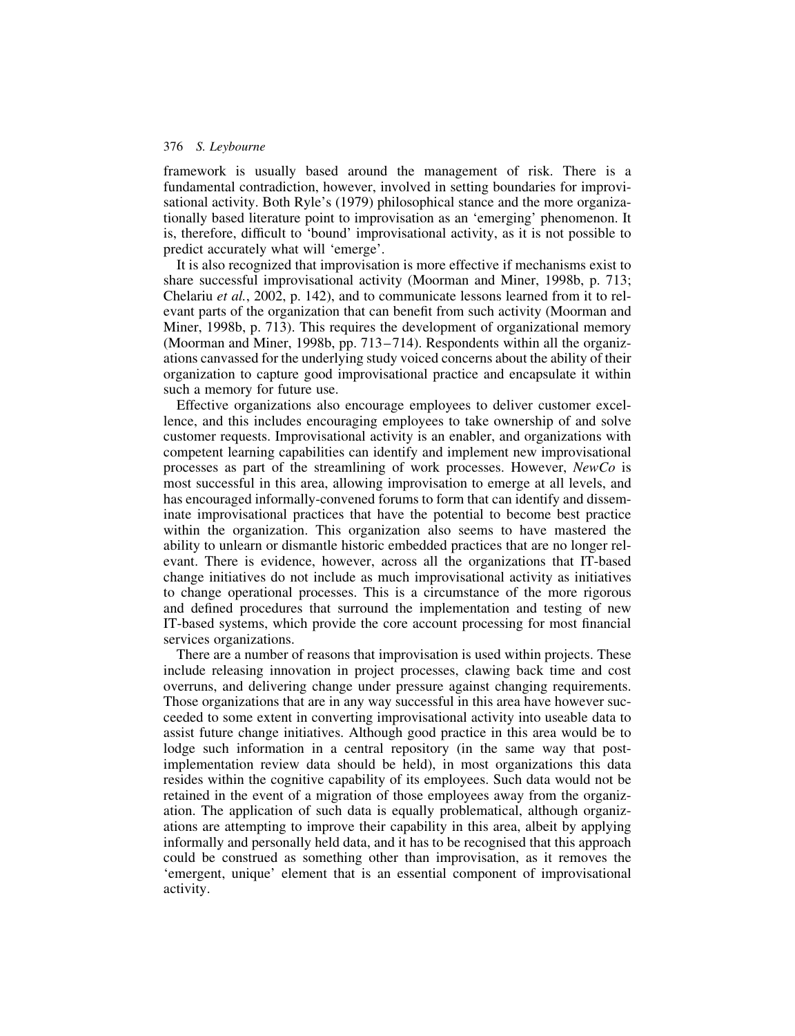framework is usually based around the management of risk. There is a fundamental contradiction, however, involved in setting boundaries for improvisational activity. Both Ryle's (1979) philosophical stance and the more organizationally based literature point to improvisation as an 'emerging' phenomenon. It is, therefore, difficult to 'bound' improvisational activity, as it is not possible to predict accurately what will 'emerge'.

It is also recognized that improvisation is more effective if mechanisms exist to share successful improvisational activity (Moorman and Miner, 1998b, p. 713; Chelariu et al., 2002, p. 142), and to communicate lessons learned from it to relevant parts of the organization that can benefit from such activity (Moorman and Miner, 1998b, p. 713). This requires the development of organizational memory (Moorman and Miner, 1998b, pp.  $713-714$ ). Respondents within all the organizations canvassed for the underlying study voiced concerns about the ability of their organization to capture good improvisational practice and encapsulate it within such a memory for future use.

Effective organizations also encourage employees to deliver customer excellence, and this includes encouraging employees to take ownership of and solve customer requests. Improvisational activity is an enabler, and organizations with competent learning capabilities can identify and implement new improvisational processes as part of the streamlining of work processes. However, NewCo is most successful in this area, allowing improvisation to emerge at all levels, and has encouraged informally-convened forums to form that can identify and disseminate improvisational practices that have the potential to become best practice within the organization. This organization also seems to have mastered the ability to unlearn or dismantle historic embedded practices that are no longer relevant. There is evidence, however, across all the organizations that IT-based change initiatives do not include as much improvisational activity as initiatives to change operational processes. This is a circumstance of the more rigorous and defined procedures that surround the implementation and testing of new IT-based systems, which provide the core account processing for most financial services organizations.

There are a number of reasons that improvisation is used within projects. These include releasing innovation in project processes, clawing back time and cost overruns, and delivering change under pressure against changing requirements. Those organizations that are in any way successful in this area have however succeeded to some extent in converting improvisational activity into useable data to assist future change initiatives. Although good practice in this area would be to lodge such information in a central repository (in the same way that postimplementation review data should be held), in most organizations this data resides within the cognitive capability of its employees. Such data would not be retained in the event of a migration of those employees away from the organization. The application of such data is equally problematical, although organizations are attempting to improve their capability in this area, albeit by applying informally and personally held data, and it has to be recognised that this approach could be construed as something other than improvisation, as it removes the 'emergent, unique' element that is an essential component of improvisational activity.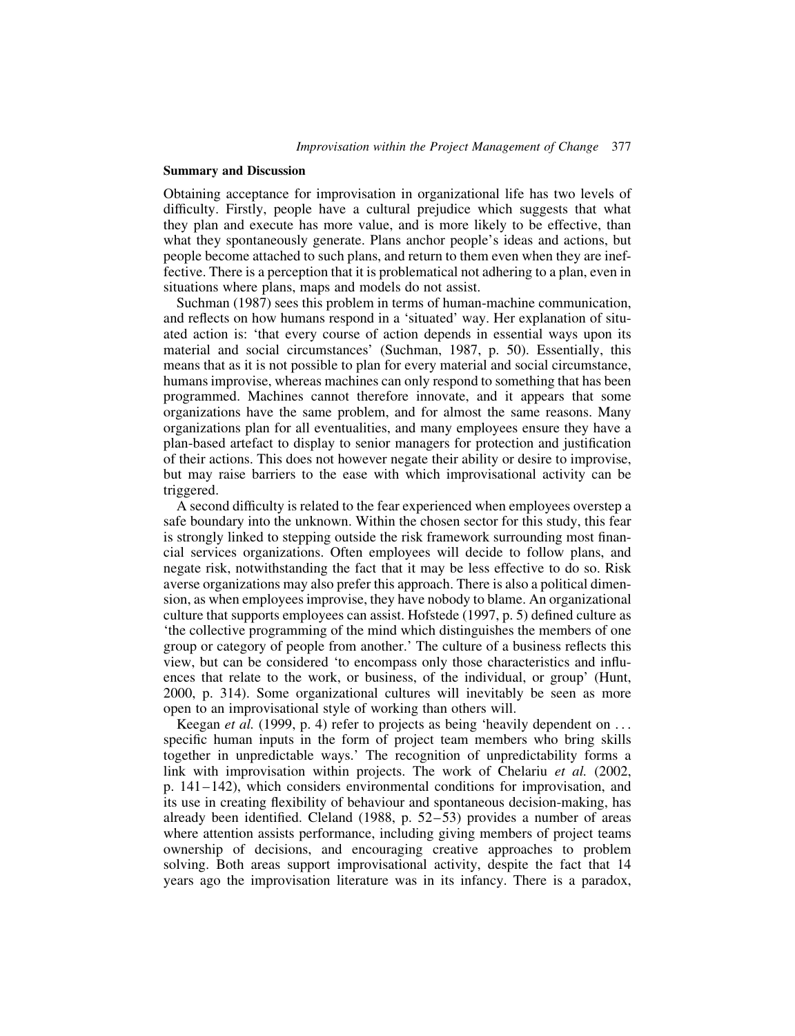## Summary and Discussion

Obtaining acceptance for improvisation in organizational life has two levels of difficulty. Firstly, people have a cultural prejudice which suggests that what they plan and execute has more value, and is more likely to be effective, than what they spontaneously generate. Plans anchor people's ideas and actions, but people become attached to such plans, and return to them even when they are ineffective. There is a perception that it is problematical not adhering to a plan, even in situations where plans, maps and models do not assist.

Suchman (1987) sees this problem in terms of human-machine communication, and reflects on how humans respond in a 'situated' way. Her explanation of situated action is: 'that every course of action depends in essential ways upon its material and social circumstances' (Suchman, 1987, p. 50). Essentially, this means that as it is not possible to plan for every material and social circumstance, humans improvise, whereas machines can only respond to something that has been programmed. Machines cannot therefore innovate, and it appears that some organizations have the same problem, and for almost the same reasons. Many organizations plan for all eventualities, and many employees ensure they have a plan-based artefact to display to senior managers for protection and justification of their actions. This does not however negate their ability or desire to improvise, but may raise barriers to the ease with which improvisational activity can be triggered.

A second difficulty is related to the fear experienced when employees overstep a safe boundary into the unknown. Within the chosen sector for this study, this fear is strongly linked to stepping outside the risk framework surrounding most financial services organizations. Often employees will decide to follow plans, and negate risk, notwithstanding the fact that it may be less effective to do so. Risk averse organizations may also prefer this approach. There is also a political dimension, as when employees improvise, they have nobody to blame. An organizational culture that supports employees can assist. Hofstede (1997, p. 5) defined culture as 'the collective programming of the mind which distinguishes the members of one group or category of people from another.' The culture of a business reflects this view, but can be considered 'to encompass only those characteristics and influences that relate to the work, or business, of the individual, or group' (Hunt, 2000, p. 314). Some organizational cultures will inevitably be seen as more open to an improvisational style of working than others will.

Keegan *et al.* (1999, p. 4) refer to projects as being 'heavily dependent on ... specific human inputs in the form of project team members who bring skills together in unpredictable ways.' The recognition of unpredictability forms a link with improvisation within projects. The work of Chelariu et al. (2002, p. 141– 142), which considers environmental conditions for improvisation, and its use in creating flexibility of behaviour and spontaneous decision-making, has already been identified. Cleland  $(1988, p. 52-53)$  provides a number of areas where attention assists performance, including giving members of project teams ownership of decisions, and encouraging creative approaches to problem solving. Both areas support improvisational activity, despite the fact that 14 years ago the improvisation literature was in its infancy. There is a paradox,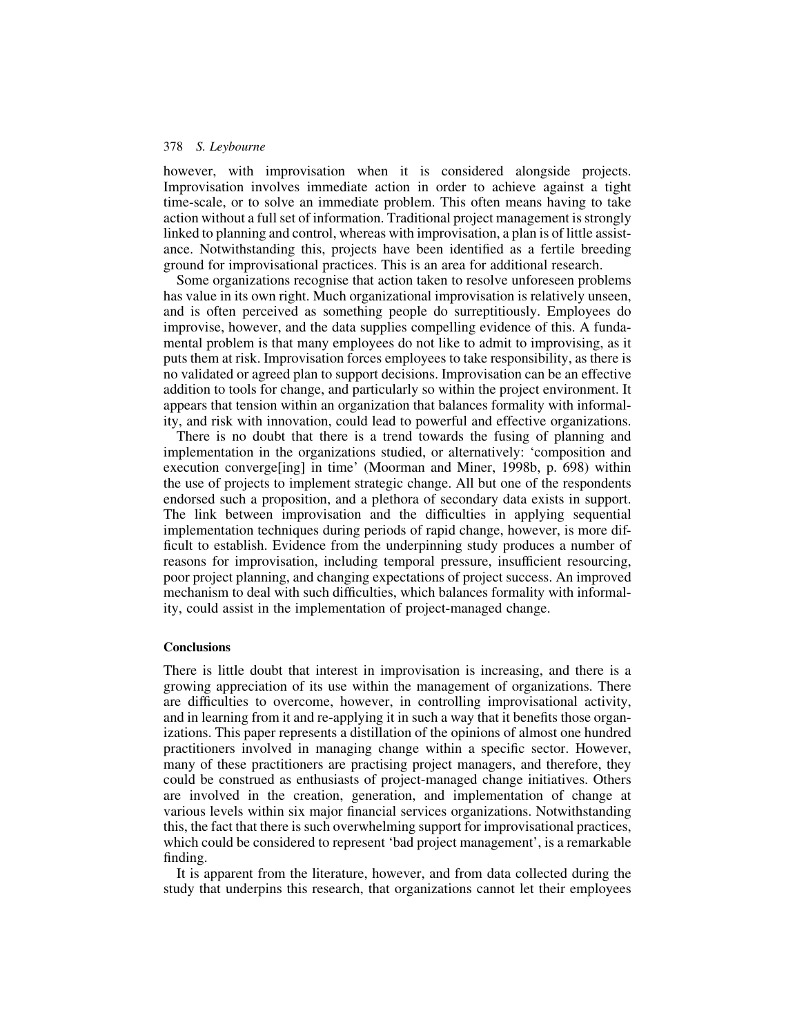however, with improvisation when it is considered alongside projects. Improvisation involves immediate action in order to achieve against a tight time-scale, or to solve an immediate problem. This often means having to take action without a full set of information. Traditional project management is strongly linked to planning and control, whereas with improvisation, a plan is of little assistance. Notwithstanding this, projects have been identified as a fertile breeding ground for improvisational practices. This is an area for additional research.

Some organizations recognise that action taken to resolve unforeseen problems has value in its own right. Much organizational improvisation is relatively unseen, and is often perceived as something people do surreptitiously. Employees do improvise, however, and the data supplies compelling evidence of this. A fundamental problem is that many employees do not like to admit to improvising, as it puts them at risk. Improvisation forces employees to take responsibility, as there is no validated or agreed plan to support decisions. Improvisation can be an effective addition to tools for change, and particularly so within the project environment. It appears that tension within an organization that balances formality with informality, and risk with innovation, could lead to powerful and effective organizations.

There is no doubt that there is a trend towards the fusing of planning and implementation in the organizations studied, or alternatively: 'composition and execution converge[ing] in time' (Moorman and Miner, 1998b, p. 698) within the use of projects to implement strategic change. All but one of the respondents endorsed such a proposition, and a plethora of secondary data exists in support. The link between improvisation and the difficulties in applying sequential implementation techniques during periods of rapid change, however, is more difficult to establish. Evidence from the underpinning study produces a number of reasons for improvisation, including temporal pressure, insufficient resourcing, poor project planning, and changing expectations of project success. An improved mechanism to deal with such difficulties, which balances formality with informality, could assist in the implementation of project-managed change.

## **Conclusions**

There is little doubt that interest in improvisation is increasing, and there is a growing appreciation of its use within the management of organizations. There are difficulties to overcome, however, in controlling improvisational activity, and in learning from it and re-applying it in such a way that it benefits those organizations. This paper represents a distillation of the opinions of almost one hundred practitioners involved in managing change within a specific sector. However, many of these practitioners are practising project managers, and therefore, they could be construed as enthusiasts of project-managed change initiatives. Others are involved in the creation, generation, and implementation of change at various levels within six major financial services organizations. Notwithstanding this, the fact that there is such overwhelming support for improvisational practices, which could be considered to represent 'bad project management', is a remarkable finding.

It is apparent from the literature, however, and from data collected during the study that underpins this research, that organizations cannot let their employees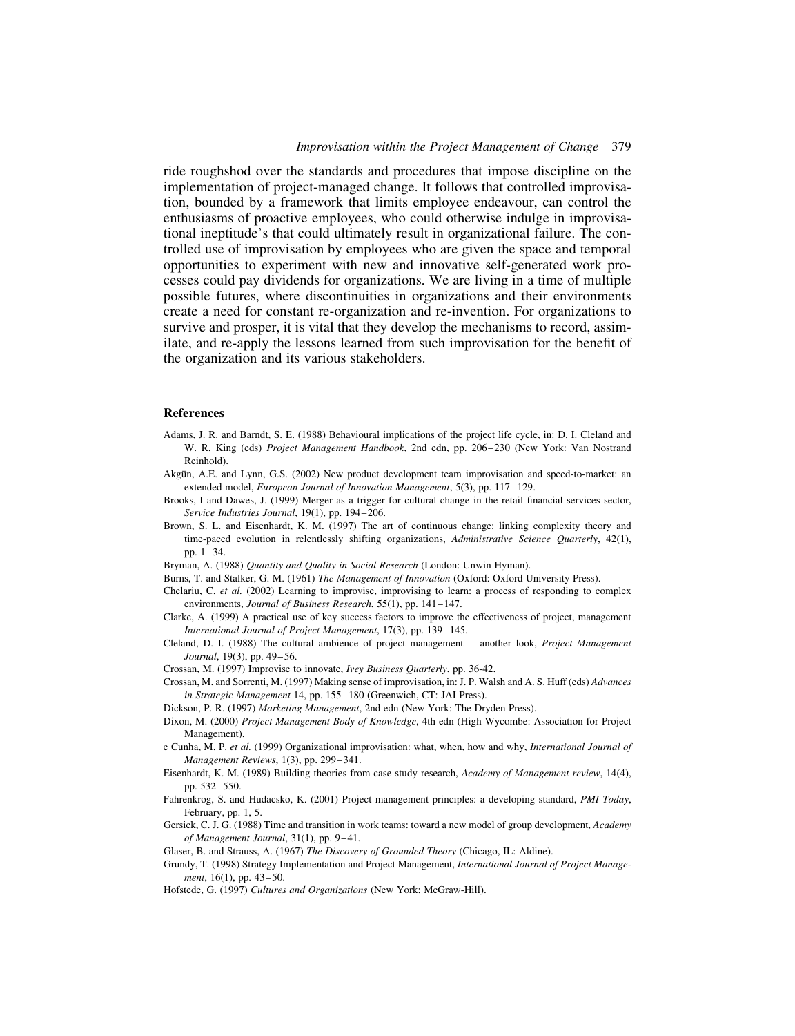ride roughshod over the standards and procedures that impose discipline on the implementation of project-managed change. It follows that controlled improvisation, bounded by a framework that limits employee endeavour, can control the enthusiasms of proactive employees, who could otherwise indulge in improvisational ineptitude's that could ultimately result in organizational failure. The controlled use of improvisation by employees who are given the space and temporal opportunities to experiment with new and innovative self-generated work processes could pay dividends for organizations. We are living in a time of multiple possible futures, where discontinuities in organizations and their environments create a need for constant re-organization and re-invention. For organizations to survive and prosper, it is vital that they develop the mechanisms to record, assimilate, and re-apply the lessons learned from such improvisation for the benefit of the organization and its various stakeholders.

#### References

- Adams, J. R. and Barndt, S. E. (1988) Behavioural implications of the project life cycle, in: D. I. Cleland and W. R. King (eds) Project Management Handbook, 2nd edn, pp. 206 –230 (New York: Van Nostrand Reinhold).
- Akgün, A.E. and Lynn, G.S. (2002) New product development team improvisation and speed-to-market: an extended model, European Journal of Innovation Management, 5(3), pp. 117-129.
- Brooks, I and Dawes, J. (1999) Merger as a trigger for cultural change in the retail financial services sector, Service Industries Journal, 19(1), pp. 194–206.
- Brown, S. L. and Eisenhardt, K. M. (1997) The art of continuous change: linking complexity theory and time-paced evolution in relentlessly shifting organizations, Administrative Science Quarterly, 42(1), pp.  $1 - 34$ .
- Bryman, A. (1988) Quantity and Quality in Social Research (London: Unwin Hyman).
- Burns, T. and Stalker, G. M. (1961) The Management of Innovation (Oxford: Oxford University Press).
- Chelariu, C. et al. (2002) Learning to improvise, improvising to learn: a process of responding to complex environments, Journal of Business Research, 55(1), pp. 141-147.
- Clarke, A. (1999) A practical use of key success factors to improve the effectiveness of project, management International Journal of Project Management, 17(3), pp. 139–145.
- Cleland, D. I. (1988) The cultural ambience of project management another look, Project Management Journal, 19(3), pp. 49–56.

Crossan, M. (1997) Improvise to innovate, Ivey Business Quarterly, pp. 36-42.

- Crossan, M. and Sorrenti, M. (1997) Making sense of improvisation, in: J. P. Walsh and A. S. Huff (eds) Advances in Strategic Management 14, pp. 155– 180 (Greenwich, CT: JAI Press).
- Dickson, P. R. (1997) Marketing Management, 2nd edn (New York: The Dryden Press).
- Dixon, M. (2000) Project Management Body of Knowledge, 4th edn (High Wycombe: Association for Project Management).
- e Cunha, M. P. et al. (1999) Organizational improvisation: what, when, how and why, International Journal of Management Reviews, 1(3), pp. 299-341.
- Eisenhardt, K. M. (1989) Building theories from case study research, Academy of Management review, 14(4), pp. 532 –550.
- Fahrenkrog, S. and Hudacsko, K. (2001) Project management principles: a developing standard, PMI Today, February, pp. 1, 5.
- Gersick, C. J. G. (1988) Time and transition in work teams: toward a new model of group development, Academy of Management Journal, 31(1), pp. 9–41.
- Glaser, B. and Strauss, A. (1967) The Discovery of Grounded Theory (Chicago, IL: Aldine).
- Grundy, T. (1998) Strategy Implementation and Project Management, International Journal of Project Management, 16(1), pp. 43–50.
- Hofstede, G. (1997) Cultures and Organizations (New York: McGraw-Hill).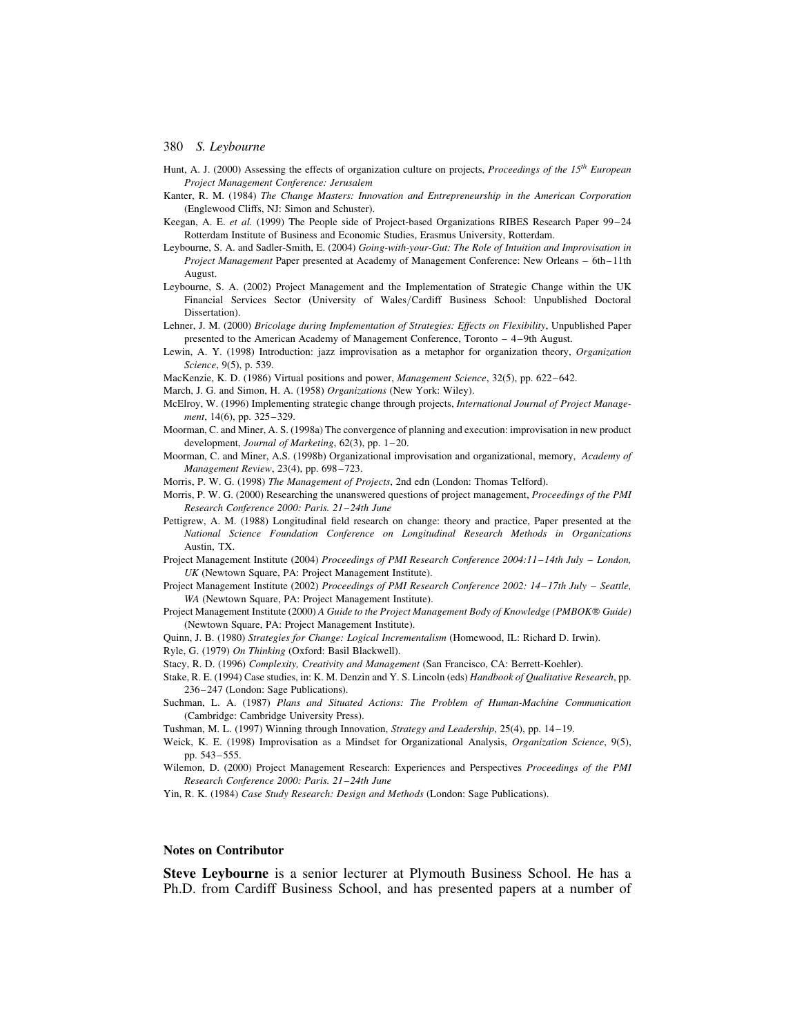- Hunt, A. J. (2000) Assessing the effects of organization culture on projects, *Proceedings of the*  $15<sup>th</sup>$  European Project Management Conference: Jerusalem
- Kanter, R. M. (1984) The Change Masters: Innovation and Entrepreneurship in the American Corporation (Englewood Cliffs, NJ: Simon and Schuster).
- Keegan, A. E. et al. (1999) The People side of Project-based Organizations RIBES Research Paper 99-24 Rotterdam Institute of Business and Economic Studies, Erasmus University, Rotterdam.
- Leybourne, S. A. and Sadler-Smith, E. (2004) Going-with-your-Gut: The Role of Intuition and Improvisation in Project Management Paper presented at Academy of Management Conference: New Orleans – 6th–11th August.
- Leybourne, S. A. (2002) Project Management and the Implementation of Strategic Change within the UK Financial Services Sector (University of Wales/Cardiff Business School: Unpublished Doctoral Dissertation).
- Lehner, J. M. (2000) Bricolage during Implementation of Strategies: Effects on Flexibility, Unpublished Paper presented to the American Academy of Management Conference, Toronto – 4–9th August.
- Lewin, A. Y. (1998) Introduction: jazz improvisation as a metaphor for organization theory, Organization Science, 9(5), p. 539.
- MacKenzie, K. D. (1986) Virtual positions and power, Management Science, 32(5), pp. 622 –642.
- March, J. G. and Simon, H. A. (1958) Organizations (New York: Wiley).
- McElroy, W. (1996) Implementing strategic change through projects, International Journal of Project Management, 14(6), pp. 325–329.
- Moorman, C. and Miner, A. S. (1998a) The convergence of planning and execution: improvisation in new product development, Journal of Marketing, 62(3), pp. 1–20.
- Moorman, C. and Miner, A.S. (1998b) Organizational improvisation and organizational, memory, Academy of Management Review, 23(4), pp. 698 –723.
- Morris, P. W. G. (1998) The Management of Projects, 2nd edn (London: Thomas Telford).
- Morris, P. W. G. (2000) Researching the unanswered questions of project management, Proceedings of the PMI Research Conference 2000: Paris. 21–24th June
- Pettigrew, A. M. (1988) Longitudinal field research on change: theory and practice, Paper presented at the National Science Foundation Conference on Longitudinal Research Methods in Organizations Austin, TX.
- Project Management Institute (2004) Proceedings of PMI Research Conference 2004:11–14th July London, UK (Newtown Square, PA: Project Management Institute).
- Project Management Institute (2002) Proceedings of PMI Research Conference 2002: 14–17th July Seattle, WA (Newtown Square, PA: Project Management Institute).
- Project Management Institute (2000) A Guide to the Project Management Body of Knowledge (PMBOK® Guide) (Newtown Square, PA: Project Management Institute).
- Quinn, J. B. (1980) Strategies for Change: Logical Incrementalism (Homewood, IL: Richard D. Irwin).
- Ryle, G. (1979) On Thinking (Oxford: Basil Blackwell).
- Stacy, R. D. (1996) Complexity, Creativity and Management (San Francisco, CA: Berrett-Koehler).
- Stake, R. E. (1994) Case studies, in: K. M. Denzin and Y. S. Lincoln (eds) Handbook of Qualitative Research, pp. 236– 247 (London: Sage Publications).
- Suchman, L. A. (1987) Plans and Situated Actions: The Problem of Human-Machine Communication (Cambridge: Cambridge University Press).
- Tushman, M. L. (1997) Winning through Innovation, Strategy and Leadership, 25(4), pp. 14 –19.
- Weick, K. E. (1998) Improvisation as a Mindset for Organizational Analysis, Organization Science, 9(5), pp. 543 –555.
- Wilemon, D. (2000) Project Management Research: Experiences and Perspectives Proceedings of the PMI Research Conference 2000: Paris. 21–24th June
- Yin, R. K. (1984) Case Study Research: Design and Methods (London: Sage Publications).

## Notes on Contributor

Steve Leybourne is a senior lecturer at Plymouth Business School. He has a Ph.D. from Cardiff Business School, and has presented papers at a number of